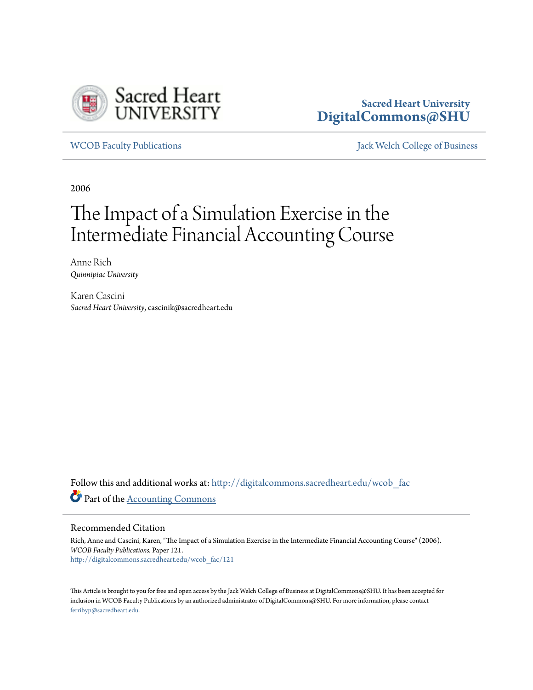

# **Sacred Heart University [DigitalCommons@SHU](http://digitalcommons.sacredheart.edu?utm_source=digitalcommons.sacredheart.edu%2Fwcob_fac%2F121&utm_medium=PDF&utm_campaign=PDFCoverPages)**

[WCOB Faculty Publications](http://digitalcommons.sacredheart.edu/wcob_fac?utm_source=digitalcommons.sacredheart.edu%2Fwcob_fac%2F121&utm_medium=PDF&utm_campaign=PDFCoverPages) [Jack Welch College of Business](http://digitalcommons.sacredheart.edu/wcob?utm_source=digitalcommons.sacredheart.edu%2Fwcob_fac%2F121&utm_medium=PDF&utm_campaign=PDFCoverPages)

2006

# The Impact of a Simulation Exercise in the Intermediate Financial Accounting Course

Anne Rich *Quinnipiac University*

Karen Cascini *Sacred Heart University*, cascinik@sacredheart.edu

Follow this and additional works at: [http://digitalcommons.sacredheart.edu/wcob\\_fac](http://digitalcommons.sacredheart.edu/wcob_fac?utm_source=digitalcommons.sacredheart.edu%2Fwcob_fac%2F121&utm_medium=PDF&utm_campaign=PDFCoverPages) Part of the [Accounting Commons](http://network.bepress.com/hgg/discipline/625?utm_source=digitalcommons.sacredheart.edu%2Fwcob_fac%2F121&utm_medium=PDF&utm_campaign=PDFCoverPages)

# Recommended Citation

Rich, Anne and Cascini, Karen, "The Impact of a Simulation Exercise in the Intermediate Financial Accounting Course" (2006). *WCOB Faculty Publications.* Paper 121. [http://digitalcommons.sacredheart.edu/wcob\\_fac/121](http://digitalcommons.sacredheart.edu/wcob_fac/121?utm_source=digitalcommons.sacredheart.edu%2Fwcob_fac%2F121&utm_medium=PDF&utm_campaign=PDFCoverPages)

This Article is brought to you for free and open access by the Jack Welch College of Business at DigitalCommons@SHU. It has been accepted for inclusion in WCOB Faculty Publications by an authorized administrator of DigitalCommons@SHU. For more information, please contact [ferribyp@sacredheart.edu](mailto:ferribyp@sacredheart.edu).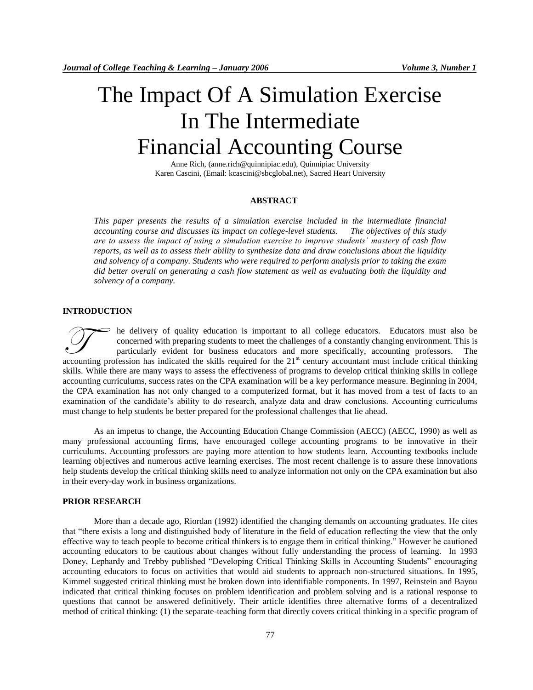# The Impact Of A Simulation Exercise In The Intermediate Financial Accounting Course

Anne Rich, (anne.rich@quinnipiac.edu), Quinnipiac University Karen Cascini, (Email: kcascini@sbcglobal.net), Sacred Heart University

### **ABSTRACT**

*This paper presents the results of a simulation exercise included in the intermediate financial accounting course and discusses its impact on college-level students. The objectives of this study are to assess the impact of using a simulation exercise to improve students' mastery of cash flow reports, as well as to assess their ability to synthesize data and draw conclusions about the liquidity and solvency of a company. Students who were required to perform analysis prior to taking the exam did better overall on generating a cash flow statement as well as evaluating both the liquidity and solvency of a company.*

### **INTRODUCTION**

he delivery of quality education is important to all college educators. Educators must also be concerned with preparing students to meet the challenges of a constantly changing environment. This is particularly evident for business educators and more specifically, accounting professors. The accounting profession has indicated the skills required for the 21<sup>st</sup> century accountant must include critical thinking profession has indicated the skills required for the 21<sup>st</sup> century accountant must include critical skills. While there are many ways to assess the effectiveness of programs to develop critical thinking skills in college accounting curriculums, success rates on the CPA examination will be a key performance measure. Beginning in 2004, the CPA examination has not only changed to a computerized format, but it has moved from a test of facts to an examination of the candidate's ability to do research, analyze data and draw conclusions. Accounting curriculums must change to help students be better prepared for the professional challenges that lie ahead.

As an impetus to change, the Accounting Education Change Commission (AECC) (AECC, 1990) as well as many professional accounting firms, have encouraged college accounting programs to be innovative in their curriculums. Accounting professors are paying more attention to how students learn. Accounting textbooks include learning objectives and numerous active learning exercises. The most recent challenge is to assure these innovations help students develop the critical thinking skills need to analyze information not only on the CPA examination but also in their every-day work in business organizations.

#### **PRIOR RESEARCH**

More than a decade ago, Riordan (1992) identified the changing demands on accounting graduates. He cites that "there exists a long and distinguished body of literature in the field of education reflecting the view that the only effective way to teach people to become critical thinkers is to engage them in critical thinking." However he cautioned accounting educators to be cautious about changes without fully understanding the process of learning. In 1993 Doney, Lephardy and Trebby published "Developing Critical Thinking Skills in Accounting Students" encouraging accounting educators to focus on activities that would aid students to approach non-structured situations. In 1995, Kimmel suggested critical thinking must be broken down into identifiable components. In 1997, Reinstein and Bayou indicated that critical thinking focuses on problem identification and problem solving and is a rational response to questions that cannot be answered definitively. Their article identifies three alternative forms of a decentralized method of critical thinking: (1) the separate-teaching form that directly covers critical thinking in a specific program of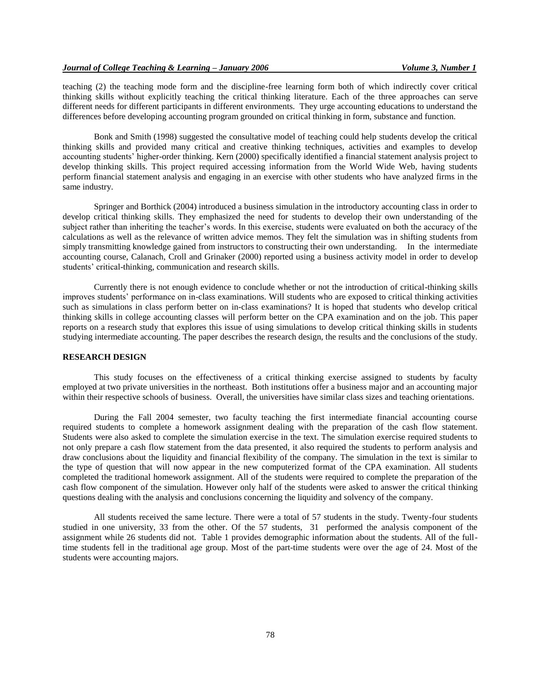teaching (2) the teaching mode form and the discipline-free learning form both of which indirectly cover critical thinking skills without explicitly teaching the critical thinking literature. Each of the three approaches can serve different needs for different participants in different environments. They urge accounting educations to understand the differences before developing accounting program grounded on critical thinking in form, substance and function.

Bonk and Smith (1998) suggested the consultative model of teaching could help students develop the critical thinking skills and provided many critical and creative thinking techniques, activities and examples to develop accounting students' higher-order thinking. Kern (2000) specifically identified a financial statement analysis project to develop thinking skills. This project required accessing information from the World Wide Web, having students perform financial statement analysis and engaging in an exercise with other students who have analyzed firms in the same industry.

Springer and Borthick (2004) introduced a business simulation in the introductory accounting class in order to develop critical thinking skills. They emphasized the need for students to develop their own understanding of the subject rather than inheriting the teacher's words. In this exercise, students were evaluated on both the accuracy of the calculations as well as the relevance of written advice memos. They felt the simulation was in shifting students from simply transmitting knowledge gained from instructors to constructing their own understanding. In the intermediate accounting course, Calanach, Croll and Grinaker (2000) reported using a business activity model in order to develop students' critical-thinking, communication and research skills.

Currently there is not enough evidence to conclude whether or not the introduction of critical-thinking skills improves students' performance on in-class examinations. Will students who are exposed to critical thinking activities such as simulations in class perform better on in-class examinations? It is hoped that students who develop critical thinking skills in college accounting classes will perform better on the CPA examination and on the job. This paper reports on a research study that explores this issue of using simulations to develop critical thinking skills in students studying intermediate accounting. The paper describes the research design, the results and the conclusions of the study.

# **RESEARCH DESIGN**

This study focuses on the effectiveness of a critical thinking exercise assigned to students by faculty employed at two private universities in the northeast. Both institutions offer a business major and an accounting major within their respective schools of business. Overall, the universities have similar class sizes and teaching orientations.

During the Fall 2004 semester, two faculty teaching the first intermediate financial accounting course required students to complete a homework assignment dealing with the preparation of the cash flow statement. Students were also asked to complete the simulation exercise in the text. The simulation exercise required students to not only prepare a cash flow statement from the data presented, it also required the students to perform analysis and draw conclusions about the liquidity and financial flexibility of the company. The simulation in the text is similar to the type of question that will now appear in the new computerized format of the CPA examination. All students completed the traditional homework assignment. All of the students were required to complete the preparation of the cash flow component of the simulation. However only half of the students were asked to answer the critical thinking questions dealing with the analysis and conclusions concerning the liquidity and solvency of the company.

All students received the same lecture. There were a total of 57 students in the study. Twenty-four students studied in one university, 33 from the other. Of the 57 students, 31 performed the analysis component of the assignment while 26 students did not. Table 1 provides demographic information about the students. All of the fulltime students fell in the traditional age group. Most of the part-time students were over the age of 24. Most of the students were accounting majors.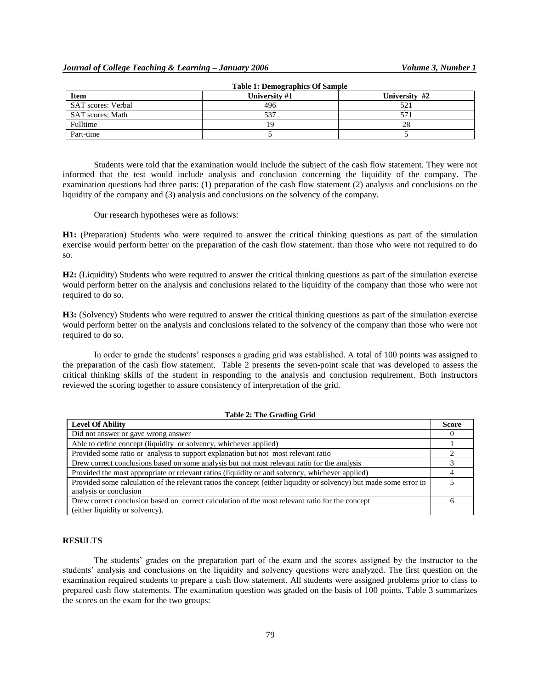| <b>Item</b>             | University #1 | University #2 |
|-------------------------|---------------|---------------|
| SAT scores: Verbal      | 496           | 52.           |
| <b>SAT</b> scores: Math | 537           | 57            |
| Fulltime                |               | 28            |
| Part-time               |               |               |

**Table 1: Demographics Of Sample**

Students were told that the examination would include the subject of the cash flow statement. They were not informed that the test would include analysis and conclusion concerning the liquidity of the company. The examination questions had three parts: (1) preparation of the cash flow statement (2) analysis and conclusions on the liquidity of the company and (3) analysis and conclusions on the solvency of the company.

Our research hypotheses were as follows:

**H1:** (Preparation) Students who were required to answer the critical thinking questions as part of the simulation exercise would perform better on the preparation of the cash flow statement. than those who were not required to do so.

**H2:** (Liquidity) Students who were required to answer the critical thinking questions as part of the simulation exercise would perform better on the analysis and conclusions related to the liquidity of the company than those who were not required to do so.

**H3:** (Solvency) Students who were required to answer the critical thinking questions as part of the simulation exercise would perform better on the analysis and conclusions related to the solvency of the company than those who were not required to do so.

In order to grade the students' responses a grading grid was established. A total of 100 points was assigned to the preparation of the cash flow statement. Table 2 presents the seven-point scale that was developed to assess the critical thinking skills of the student in responding to the analysis and conclusion requirement. Both instructors reviewed the scoring together to assure consistency of interpretation of the grid.

#### **Table 2: The Grading Grid**

| <b>Level Of Ability</b>                                                                                            | <b>Score</b> |
|--------------------------------------------------------------------------------------------------------------------|--------------|
| Did not answer or gave wrong answer                                                                                |              |
| Able to define concept (liquidity or solvency, whichever applied)                                                  |              |
| Provided some ratio or analysis to support explanation but not most relevant ratio                                 |              |
| Drew correct conclusions based on some analysis but not most relevant ratio for the analysis                       |              |
| Provided the most appropriate or relevant ratios (liquidity or and solvency, whichever applied)                    |              |
| Provided some calculation of the relevant ratios the concept (either liquidity or solvency) but made some error in |              |
| analysis or conclusion                                                                                             |              |
| Drew correct conclusion based on correct calculation of the most relevant ratio for the concept                    |              |
| (either liquidity or solvency).                                                                                    |              |

#### **RESULTS**

The students' grades on the preparation part of the exam and the scores assigned by the instructor to the students' analysis and conclusions on the liquidity and solvency questions were analyzed. The first question on the examination required students to prepare a cash flow statement. All students were assigned problems prior to class to prepared cash flow statements. The examination question was graded on the basis of 100 points. Table 3 summarizes the scores on the exam for the two groups: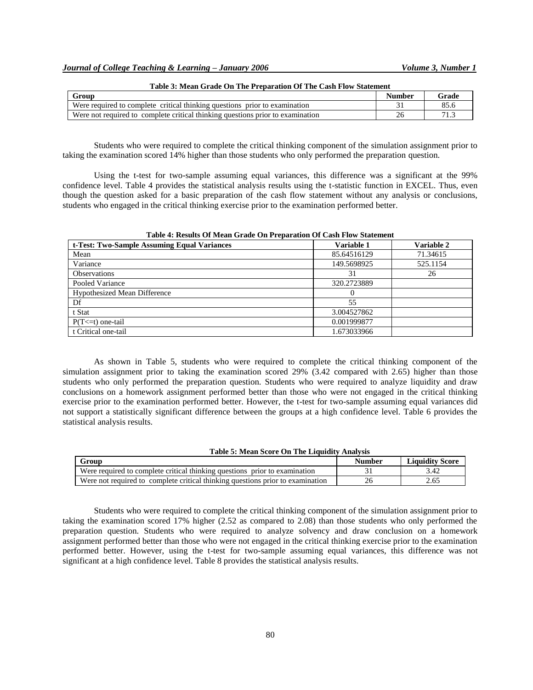| Group                                                                          | Number | Grade |
|--------------------------------------------------------------------------------|--------|-------|
| Were required to complete critical thinking questions prior to examination     |        |       |
| Were not required to complete critical thinking questions prior to examination | 26     |       |

Students who were required to complete the critical thinking component of the simulation assignment prior to taking the examination scored 14% higher than those students who only performed the preparation question.

Using the t-test for two-sample assuming equal variances, this difference was a significant at the 99% confidence level. Table 4 provides the statistical analysis results using the t-statistic function in EXCEL. Thus, even though the question asked for a basic preparation of the cash flow statement without any analysis or conclusions, students who engaged in the critical thinking exercise prior to the examination performed better.

| Table 4: Results Of Mean Grade On Preparation Of Cash Flow Statement |             |                   |  |  |  |  |
|----------------------------------------------------------------------|-------------|-------------------|--|--|--|--|
| t-Test: Two-Sample Assuming Equal Variances                          | Variable 1  | <b>Variable 2</b> |  |  |  |  |
| Mean                                                                 | 85.64516129 | 71.34615          |  |  |  |  |
| Variance                                                             | 149.5698925 | 525.1154          |  |  |  |  |
| <b>Observations</b>                                                  | 31          | 26                |  |  |  |  |
| Pooled Variance                                                      | 320.2723889 |                   |  |  |  |  |
| <b>Hypothesized Mean Difference</b>                                  | $\Omega$    |                   |  |  |  |  |
| Df                                                                   | 55          |                   |  |  |  |  |
| t Stat                                                               | 3.004527862 |                   |  |  |  |  |
| $P(T \le t)$ one-tail                                                | 0.001999877 |                   |  |  |  |  |
| t Critical one-tail                                                  | 1.673033966 |                   |  |  |  |  |

As shown in Table 5, students who were required to complete the critical thinking component of the simulation assignment prior to taking the examination scored 29% (3.42 compared with 2.65) higher than those students who only performed the preparation question. Students who were required to analyze liquidity and draw conclusions on a homework assignment performed better than those who were not engaged in the critical thinking exercise prior to the examination performed better. However, the t-test for two-sample assuming equal variances did not support a statistically significant difference between the groups at a high confidence level. Table 6 provides the statistical analysis results.

#### **Table 5: Mean Score On The Liquidity Analysis**

| Group                                                                          | Number | <b>Liquidity Score</b> |
|--------------------------------------------------------------------------------|--------|------------------------|
| Were required to complete critical thinking questions prior to examination     |        | 3.42                   |
| Were not required to complete critical thinking questions prior to examination |        | 2.65                   |

Students who were required to complete the critical thinking component of the simulation assignment prior to taking the examination scored 17% higher (2.52 as compared to 2.08) than those students who only performed the preparation question. Students who were required to analyze solvency and draw conclusion on a homework assignment performed better than those who were not engaged in the critical thinking exercise prior to the examination performed better. However, using the t-test for two-sample assuming equal variances, this difference was not significant at a high confidence level. Table 8 provides the statistical analysis results.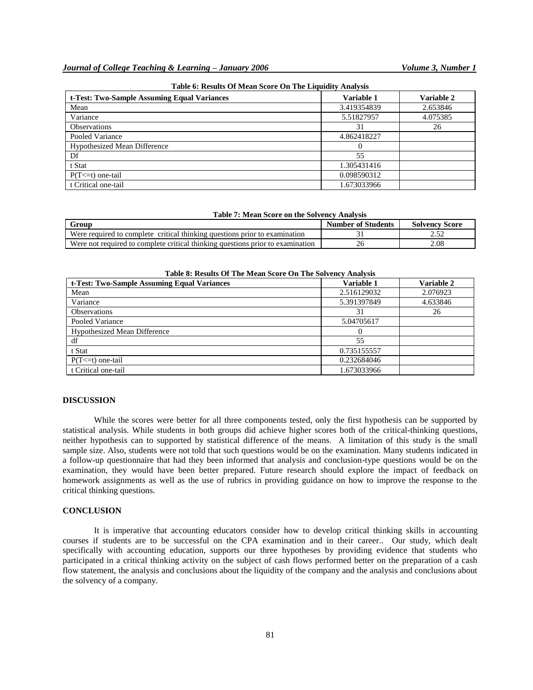| t-Test: Two-Sample Assuming Equal Variances | Variable 1  | Variable 2 |
|---------------------------------------------|-------------|------------|
| Mean                                        | 3.419354839 | 2.653846   |
| Variance                                    | 5.51827957  | 4.075385   |
| <b>Observations</b>                         | 31          | 26         |
| Pooled Variance                             | 4.862418227 |            |
| <b>Hypothesized Mean Difference</b>         |             |            |
| Df                                          | 55          |            |
| t Stat                                      | 1.305431416 |            |
| $P(T \le t)$ one-tail                       | 0.098590312 |            |
| t Critical one-tail                         | 1.673033966 |            |

|  |  | Table 6: Results Of Mean Score On The Liquidity Analysis |  |  |  |  |  |  |  |  |  |
|--|--|----------------------------------------------------------|--|--|--|--|--|--|--|--|--|
|--|--|----------------------------------------------------------|--|--|--|--|--|--|--|--|--|

| Table 7: Mean Score on the Solvency Analysis |  |  |  |  |
|----------------------------------------------|--|--|--|--|
|----------------------------------------------|--|--|--|--|

| Froun                                                                          | <b>Number of Students</b> | <b>Solvency Score</b> |
|--------------------------------------------------------------------------------|---------------------------|-----------------------|
| Were required to complete critical thinking questions prior to examination     |                           | ے ب                   |
| Were not required to complete critical thinking questions prior to examination | ۷b                        | 2.08                  |

**Table 8: Results Of The Mean Score On The Solvency Analysis**

| Table of Results Of The Mean Score On The Solvency Analysis |             |                   |  |  |  |
|-------------------------------------------------------------|-------------|-------------------|--|--|--|
| t-Test: Two-Sample Assuming Equal Variances                 | Variable 1  | <b>Variable 2</b> |  |  |  |
| Mean                                                        | 2.516129032 | 2.076923          |  |  |  |
| Variance                                                    | 5.391397849 | 4.633846          |  |  |  |
| <b>Observations</b>                                         | 31          | 26                |  |  |  |
| Pooled Variance                                             | 5.04705617  |                   |  |  |  |
| <b>Hypothesized Mean Difference</b>                         |             |                   |  |  |  |
| df                                                          | 55          |                   |  |  |  |
| t Stat                                                      | 0.735155557 |                   |  |  |  |
| $P(T \le t)$ one-tail                                       | 0.232684046 |                   |  |  |  |
| t Critical one-tail                                         | 1.673033966 |                   |  |  |  |

#### **DISCUSSION**

While the scores were better for all three components tested, only the first hypothesis can be supported by statistical analysis. While students in both groups did achieve higher scores both of the critical-thinking questions, neither hypothesis can to supported by statistical difference of the means. A limitation of this study is the small sample size. Also, students were not told that such questions would be on the examination. Many students indicated in a follow-up questionnaire that had they been informed that analysis and conclusion-type questions would be on the examination, they would have been better prepared. Future research should explore the impact of feedback on homework assignments as well as the use of rubrics in providing guidance on how to improve the response to the critical thinking questions.

#### **CONCLUSION**

It is imperative that accounting educators consider how to develop critical thinking skills in accounting courses if students are to be successful on the CPA examination and in their career.. Our study, which dealt specifically with accounting education, supports our three hypotheses by providing evidence that students who participated in a critical thinking activity on the subject of cash flows performed better on the preparation of a cash flow statement, the analysis and conclusions about the liquidity of the company and the analysis and conclusions about the solvency of a company.